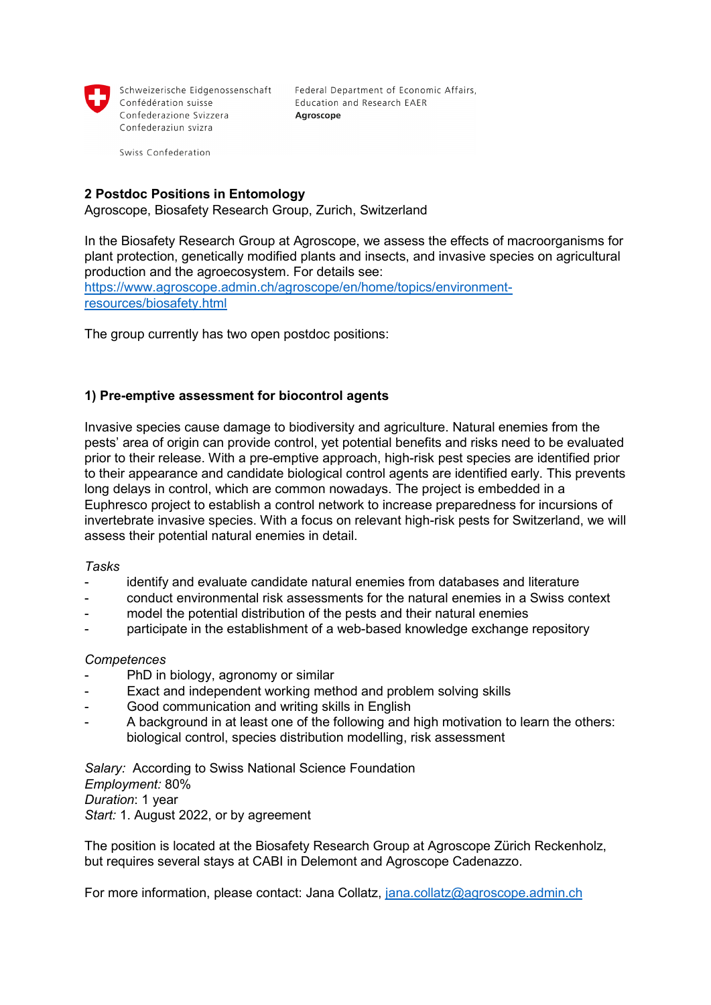

Confédération suisse Confederazione Svizzera Confederaziun svizra

Schweizerische Eidgenossenschaft Federal Department of Economic Affairs, Education and Research EAER Agroscope

Swiss Confederation

## **2 Postdoc Positions in Entomology**

Agroscope, Biosafety Research Group, Zurich, Switzerland

In the Biosafety Research Group at Agroscope, we assess the effects of macroorganisms for plant protection, genetically modified plants and insects, and invasive species on agricultural production and the agroecosystem. For details see: [https://www.agroscope.admin.ch/agroscope/en/home/topics/environment](https://www.agroscope.admin.ch/agroscope/en/home/topics/environment-resources/biosafety.html)[resources/biosafety.html](https://www.agroscope.admin.ch/agroscope/en/home/topics/environment-resources/biosafety.html)

The group currently has two open postdoc positions:

## **1) Pre-emptive assessment for biocontrol agents**

Invasive species cause damage to biodiversity and agriculture. Natural enemies from the pests' area of origin can provide control, yet potential benefits and risks need to be evaluated prior to their release. With a pre-emptive approach, high-risk pest species are identified prior to their appearance and candidate biological control agents are identified early. This prevents long delays in control, which are common nowadays. The project is embedded in a Euphresco project to establish a control network to increase preparedness for incursions of invertebrate invasive species. With a focus on relevant high-risk pests for Switzerland, we will assess their potential natural enemies in detail.

#### *Tasks*

- identify and evaluate candidate natural enemies from databases and literature
- conduct environmental risk assessments for the natural enemies in a Swiss context
- model the potential distribution of the pests and their natural enemies
- participate in the establishment of a web-based knowledge exchange repository

## *Competences*

- PhD in biology, agronomy or similar
- Exact and independent working method and problem solving skills
- Good communication and writing skills in English
- A background in at least one of the following and high motivation to learn the others: biological control, species distribution modelling, risk assessment

*Salary:* According to Swiss National Science Foundation *Employment:* 80% *Duration*: 1 year *Start:* 1. August 2022, or by agreement

The position is located at the Biosafety Research Group at Agroscope Zürich Reckenholz, but requires several stays at CABI in Delemont and Agroscope Cadenazzo.

For more information, please contact: Jana Collatz, [jana.collatz@agroscope.admin.ch](mailto:jana.collatz@agroscope.admin.ch)